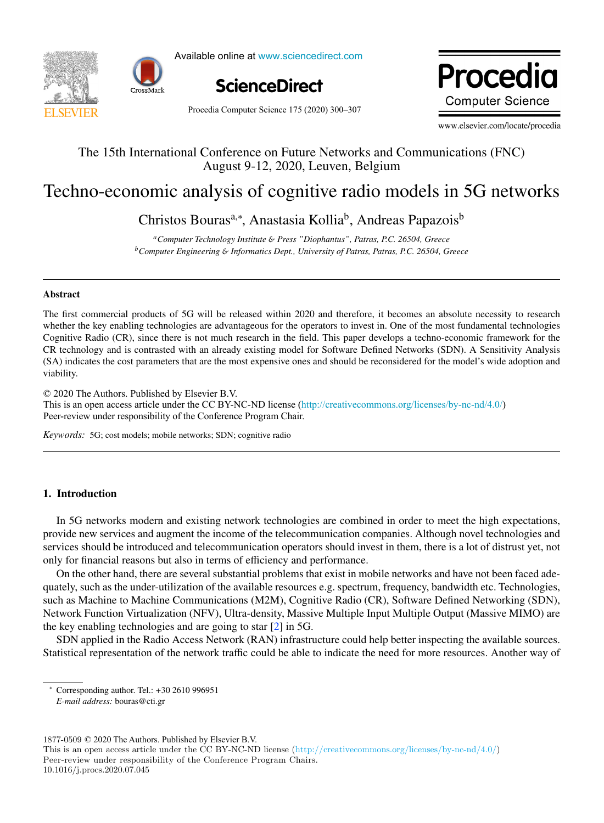



Available online at www.sciencedirect.com



Procedia Computer Science 175 (2020) 300-307

Procedia **Computer Science** 

www.elsevier.com/locate/procedia

# The 15th International Conference on Future Networks and Communications (FNC) The 15th International Conference on Future Networks and Communications (FNC) August 9-12, 2020, Leuven, Belgium August 9-12, 2020, Leuven, Belgium

# Techno-economic analysis of cognitive radio models in 5G networks Techno-economic analysis of cognitive radio models in 5G networks

Christos Bouras<sup>a,∗</sup>, Anastasia Kollia<sup>b</sup>, Andreas Papazois<sup>b</sup>

*aComputer Technology Institute* & *Press "Diophantus", Patras, P.C. 26504, Greece* <sup>a</sup>Computer Technology Institute & Press "Diophantus", Patras, P.C. 26504, Greece *bComputer Engineering* & *Informatics Dept., University of Patras, Patras, P.C. 26504, Greece*

# Abstract Abstract

The first commercial products of 5G will be released within 2020 and therefore, it becomes an absolute necessity to research The first commercial products of 5G will be released within 2020 and therefore, it becomes an absolute necessity to research whether the key enabling technologies are advantageous for the operators to invest in. One of the most fundamental technologies Cognitive Radio  $(CR)$ , since there is not much research in the field. This paper develops a techno-economic framework for the CR technology and is contrasted with an already existing model for Software Defined Networks (SDN). A Sensitivity Analysis (SA) indicates the cost parameters that are the most expensive ones and should be reconsidered for the model's wide adoption and viability.

© 2020 The Authors. Published by Elsevier B.V. © 2020 The Authors. Published by Elsevier B.V. Section and the number of the CC BY-NC-ND license (<http://creativecommons.org/licenses/by-nc-nd/4.0/>) Peer-review under responsibility of the Conference Program Chair. This is an open access article under the CC BY-NC-ND license (http://creativecommons.org/ncenses/by-nc-nd/4.0/)

*Keywords:* 5G; cost models; mobile networks; SDN; cognitive radio *Keywords:* 5G; cost models; mobile networks; SDN; cognitive radio

# 1. Introduction

In 5G networks modern and existing network technologies are combined in order to meet the high expectations, In 5G networks modern and existing new orthodoxide are combined in order to meet the high expediments,<br>In 5G networks modern and existing network technologies are combined in order to meet the high expediments, services should be introduced and telecommunication operators should invest in them, there is a lot of distrust yet, not services should be introduced and telecommunication operators should invest in them, there is a lot of distrust yet, not<br>only for financial reasons but also in terms of efficiency and performance.

On the other hand, there are several substantial problems that exist in mobile networks and have not been faced adequately, such as the under-utilization of the available resources e.g. spectrum, frequency, bandwidth etc. Technologies, such as Machine to Machine Communications (M2M), Cognitive Radio (CR), Software Defined Networking (SDN), Such as Machine to Machine Communications (M2M), Eighth Cratic (CR), Software Defined Networking (SDN),<br>Network Function Virtualization (NFV), Ultra-density, Massive Multiple Input Multiple Output (Massive MIMO) are Network Function Virtualization (NFV), Ultra-density, Massive Multiple Input Multiple Output (Massive MIMO) are<br>the key enabling technologies and are going to star [2] in 5G.

SDN applied in the Radio Access Network (RAN) infrastructure could help better inspecting the available sources. Statistical representation of the network traffic could be able to indicate the need for more resources. Another way of Statistical representation of the network traffic could be able to indicate the need for more resources. Another way of

*E-mail address:* bouras@cti.gr

1877-0509 © 2020 The Authors. Published by Elsevier B.V.

10.1016/j.procs.2020.07.045

<sup>∗</sup> Corresponding author. Tel.: +30 2610 996951 *E-mail address:* bouras@cti.gr

This is an open access article under the CC BY-NC-ND license (http://creativecommons.org/licenses/by-nc-nd/4.0/) Peer-review under responsibility of the Conference Program Chairs.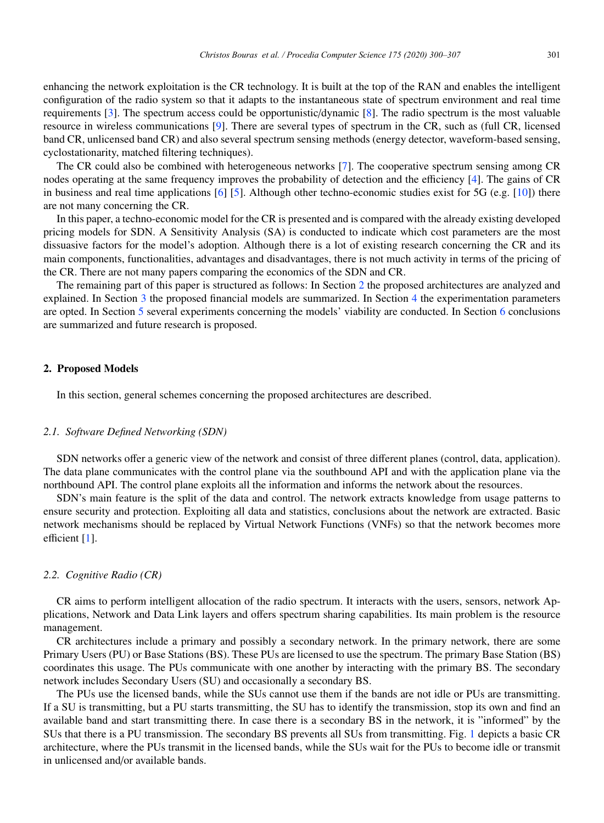enhancing the network exploitation is the CR technology. It is built at the top of the RAN and enables the intelligent configuration of the radio system so that it adapts to the instantaneous state of spectrum environment and real time requirements [3]. The spectrum access could be opportunistic/dynamic [8]. The radio spectrum is the most valuable resource in wireless communications [9]. There are several types of spectrum in the CR, such as (full CR, licensed band CR, unlicensed band CR) and also several spectrum sensing methods (energy detector, waveform-based sensing, cyclostationarity, matched filtering techniques).

The CR could also be combined with heterogeneous networks [7]. The cooperative spectrum sensing among CR nodes operating at the same frequency improves the probability of detection and the efficiency [4]. The gains of CR in business and real time applications  $[6]$  [5]. Although other techno-economic studies exist for 5G (e.g. [10]) there are not many concerning the CR.

In this paper, a techno-economic model for the CR is presented and is compared with the already existing developed pricing models for SDN. A Sensitivity Analysis (SA) is conducted to indicate which cost parameters are the most dissuasive factors for the model's adoption. Although there is a lot of existing research concerning the CR and its main components, functionalities, advantages and disadvantages, there is not much activity in terms of the pricing of the CR. There are not many papers comparing the economics of the SDN and CR.

The remaining part of this paper is structured as follows: In Section 2 the proposed architectures are analyzed and explained. In Section 3 the proposed financial models are summarized. In Section 4 the experimentation parameters are opted. In Section 5 several experiments concerning the models' viability are conducted. In Section 6 conclusions are summarized and future research is proposed.

# 2. Proposed Models

In this section, general schemes concerning the proposed architectures are described.

#### *2.1. Software Defined Networking (SDN)*

SDN networks offer a generic view of the network and consist of three different planes (control, data, application). The data plane communicates with the control plane via the southbound API and with the application plane via the northbound API. The control plane exploits all the information and informs the network about the resources.

SDN's main feature is the split of the data and control. The network extracts knowledge from usage patterns to ensure security and protection. Exploiting all data and statistics, conclusions about the network are extracted. Basic network mechanisms should be replaced by Virtual Network Functions (VNFs) so that the network becomes more efficient [1].

#### *2.2. Cognitive Radio (CR)*

CR aims to perform intelligent allocation of the radio spectrum. It interacts with the users, sensors, network Applications, Network and Data Link layers and offers spectrum sharing capabilities. Its main problem is the resource management.

CR architectures include a primary and possibly a secondary network. In the primary network, there are some Primary Users (PU) or Base Stations (BS). These PUs are licensed to use the spectrum. The primary Base Station (BS) coordinates this usage. The PUs communicate with one another by interacting with the primary BS. The secondary network includes Secondary Users (SU) and occasionally a secondary BS.

The PUs use the licensed bands, while the SUs cannot use them if the bands are not idle or PUs are transmitting. If a SU is transmitting, but a PU starts transmitting, the SU has to identify the transmission, stop its own and find an available band and start transmitting there. In case there is a secondary BS in the network, it is "informed" by the SUs that there is a PU transmission. The secondary BS prevents all SUs from transmitting. Fig. 1 depicts a basic CR architecture, where the PUs transmit in the licensed bands, while the SUs wait for the PUs to become idle or transmit in unlicensed and/or available bands.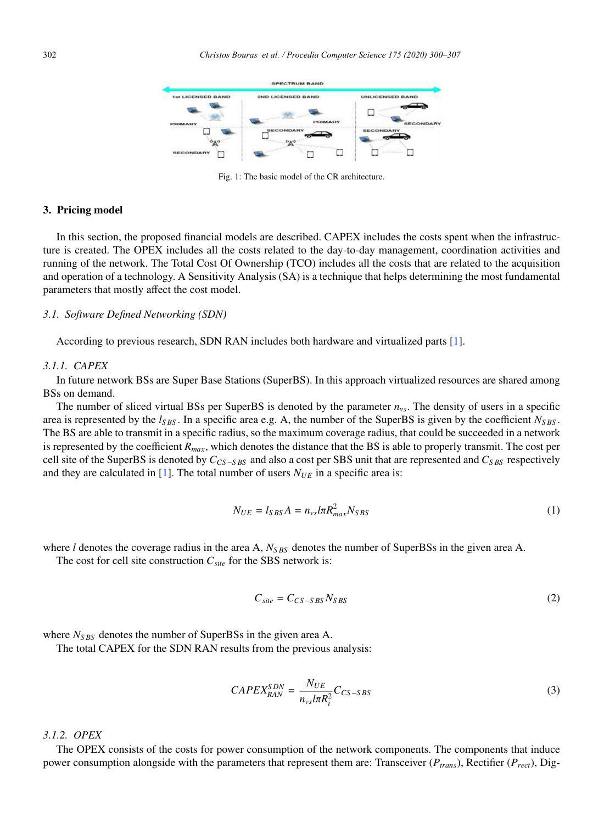

Fig. 1: The basic model of the CR architecture.

# 3. Pricing model

In this section, the proposed financial models are described. CAPEX includes the costs spent when the infrastructure is created. The OPEX includes all the costs related to the day-to-day management, coordination activities and running of the network. The Total Cost Of Ownership (TCO) includes all the costs that are related to the acquisition and operation of a technology. A Sensitivity Analysis (SA) is a technique that helps determining the most fundamental parameters that mostly affect the cost model.

#### *3.1. Software Defined Networking (SDN)*

According to previous research, SDN RAN includes both hardware and virtualized parts [1].

#### *3.1.1. CAPEX*

In future network BSs are Super Base Stations (SuperBS). In this approach virtualized resources are shared among BSs on demand.

The number of sliced virtual BSs per SuperBS is denoted by the parameter *nvs*. The density of users in a specific area is represented by the  $l_{SBS}$ . In a specific area e.g. A, the number of the SuperBS is given by the coefficient  $N_{SBS}$ . The BS are able to transmit in a specific radius, so the maximum coverage radius, that could be succeeded in a network is represented by the coefficient *Rmax*, which denotes the distance that the BS is able to properly transmit. The cost per cell site of the SuperBS is denoted by *CCS*−*S BS* and also a cost per SBS unit that are represented and *CS BS* respectively and they are calculated in [1]. The total number of users  $N_{UE}$  in a specific area is:

$$
N_{UE} = l_{SBS}A = n_{vs}l\pi R_{max}^2 N_{SBS}
$$
\n<sup>(1)</sup>

where *l* denotes the coverage radius in the area A,  $N_{SBS}$  denotes the number of SuperBSs in the given area A.

The cost for cell site construction  $C_{site}$  for the SBS network is:

$$
C_{site} = C_{CS-SBS} N_{SBS} \tag{2}
$$

where  $N_{SBS}$  denotes the number of SuperBSs in the given area A.

The total CAPEX for the SDN RAN results from the previous analysis:

$$
CAPEX_{RAN}^{SDN} = \frac{N_{UE}}{n_{vs}lnR_i^2}C_{CS-SBS}
$$
\n(3)

# *3.1.2. OPEX*

The OPEX consists of the costs for power consumption of the network components. The components that induce power consumption alongside with the parameters that represent them are: Transceiver  $(P_{trans})$ , Rectifier  $(P_{rect})$ , Dig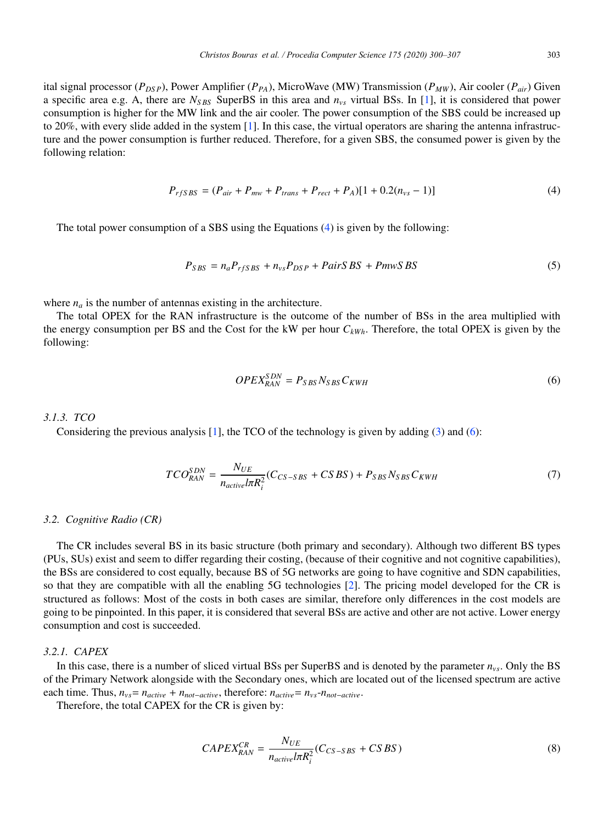ital signal processor ( $P_{DSP}$ ), Power Amplifier ( $P_{PA}$ ), MicroWave (MW) Transmission ( $P_{MW}$ ), Air cooler ( $P_{air}$ ) Given a specific area e.g. A, there are  $N_{SBS}$  SuperBS in this area and  $n_{vs}$  virtual BSs. In [1], it is considered that power consumption is higher for the MW link and the air cooler. The power consumption of the SBS could be increased up to 20%, with every slide added in the system [1]. In this case, the virtual operators are sharing the antenna infrastructure and the power consumption is further reduced. Therefore, for a given SBS, the consumed power is given by the following relation:

$$
P_{rfSBS} = (P_{air} + P_{mw} + P_{trans} + P_{rect} + P_A)[1 + 0.2(n_{vs} - 1)]
$$
\n(4)

The total power consumption of a SBS using the Equations (4) is given by the following:

$$
P_{SBS} = n_a P_{rfSBS} + n_{vs} P_{DSP} + PairsBS + PmwSBS \tag{5}
$$

where  $n_a$  is the number of antennas existing in the architecture.

The total OPEX for the RAN infrastructure is the outcome of the number of BSs in the area multiplied with the energy consumption per BS and the Cost for the kW per hour  $C_{kWh}$ . Therefore, the total OPEX is given by the following:

$$
OPEX_{RAN}^{SDN} = P_{SBS}N_{SBS}C_{KWH}
$$
\n
$$
(6)
$$

# *3.1.3. TCO*

Considering the previous analysis [1], the TCO of the technology is given by adding (3) and (6):

$$
TCO_{RAN}^{SDN} = \frac{N_{UE}}{n_{active}lnR_i^2}(C_{CS-SBS} + CSBS) + P_{SBS}N_{SBS}C_{KWH}
$$
\n<sup>(7)</sup>

#### *3.2. Cognitive Radio (CR)*

The CR includes several BS in its basic structure (both primary and secondary). Although two different BS types (PUs, SUs) exist and seem to differ regarding their costing, (because of their cognitive and not cognitive capabilities), the BSs are considered to cost equally, because BS of 5G networks are going to have cognitive and SDN capabilities, so that they are compatible with all the enabling 5G technologies [2]. The pricing model developed for the CR is structured as follows: Most of the costs in both cases are similar, therefore only differences in the cost models are going to be pinpointed. In this paper, it is considered that several BSs are active and other are not active. Lower energy consumption and cost is succeeded.

# *3.2.1. CAPEX*

In this case, there is a number of sliced virtual BSs per SuperBS and is denoted by the parameter *nvs*. Only the BS of the Primary Network alongside with the Secondary ones, which are located out of the licensed spectrum are active each time. Thus,  $n_{vs} = n_{active} + n_{not-active}$ , therefore:  $n_{active} = n_{vs} - n_{not-active}$ .

Therefore, the total CAPEX for the CR is given by:

$$
CAPEX_{RAN}^{CR} = \frac{N_{UE}}{n_{active}lnR_i^2}(C_{CS-SBS} + CSBS)
$$
\n(8)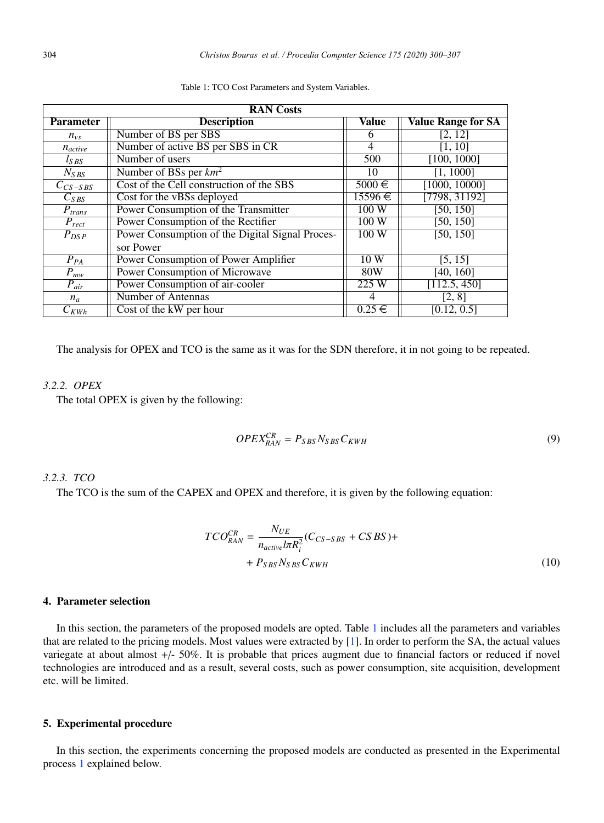| <b>RAN</b> Costs       |                                                 |             |                           |  |
|------------------------|-------------------------------------------------|-------------|---------------------------|--|
| <b>Parameter</b>       | <b>Description</b>                              | Value       | <b>Value Range for SA</b> |  |
| $n_{vs}$               | Number of BS per SBS                            | 6           | [2, 12]                   |  |
| $n_{active}$           | Number of active BS per SBS in CR               | 4           | [1, 10]                   |  |
| $l_{SBS}$              | Number of users                                 | 500         | [100, 1000]               |  |
| $N_{SBS}$              | Number of BSs per $km^2$                        | 10          | [1, 1000]                 |  |
| $C_{CS-SBS}$           | Cost of the Cell construction of the SBS        | $5000 \in$  | [1000, 10000]             |  |
| $C_{SBS}$              | Cost for the vBSs deployed                      | $15596 \in$ | [7798, 31192]             |  |
| $\overline{P}_{trans}$ | Power Consumption of the Transmitter            | 100W        | [50, 150]                 |  |
| $P_{rect}$             | Power Consumption of the Rectifier              | 100W        | $\overline{[50, 150]}$    |  |
| $P_{DSP}$              | Power Consumption of the Digital Signal Proces- | 100W        | [50, 150]                 |  |
|                        | sor Power                                       |             |                           |  |
| $P_{PA}$               | <b>Power Consumption of Power Amplifier</b>     | 10W         | [5, 15]                   |  |
| $P_{mw}$               | <b>Power Consumption of Microwave</b>           | <b>80W</b>  | [40, 160]                 |  |
| $\overline{P}_{air}$   | Power Consumption of air-cooler                 | 225W        | [112.5, 450]              |  |
| $n_a$                  | <b>Number of Antennas</b>                       | 4           | [2, 8]                    |  |
| $C_{KWh}$              | Cost of the kW per hour                         | $0.25 \in$  | [0.12, 0.5]               |  |

Table 1: TCO Cost Parameters and System Variables.

The analysis for OPEX and TCO is the same as it was for the SDN therefore, it in not going to be repeated.

# *3.2.2. OPEX*

The total OPEX is given by the following:

$$
OPEX_{RAN}^{CR} = P_{SBS}N_{SBS}C_{KWH}
$$
\n<sup>(9)</sup>

# *3.2.3. TCO*

The TCO is the sum of the CAPEX and OPEX and therefore, it is given by the following equation:

$$
TCO_{RAN}^{CR} = \frac{N_{UE}}{n_{active}lnR_i^2}(C_{CS-SBS} + CSBS) +
$$
  
+  $P_{SBS}N_{SBS}C_{KWH}$  (10)

### 4. Parameter selection

In this section, the parameters of the proposed models are opted. Table 1 includes all the parameters and variables that are related to the pricing models. Most values were extracted by [1]. In order to perform the SA, the actual values variegate at about almost +/- 50%. It is probable that prices augment due to financial factors or reduced if novel technologies are introduced and as a result, several costs, such as power consumption, site acquisition, development etc. will be limited.

# 5. Experimental procedure

In this section, the experiments concerning the proposed models are conducted as presented in the Experimental process 1 explained below.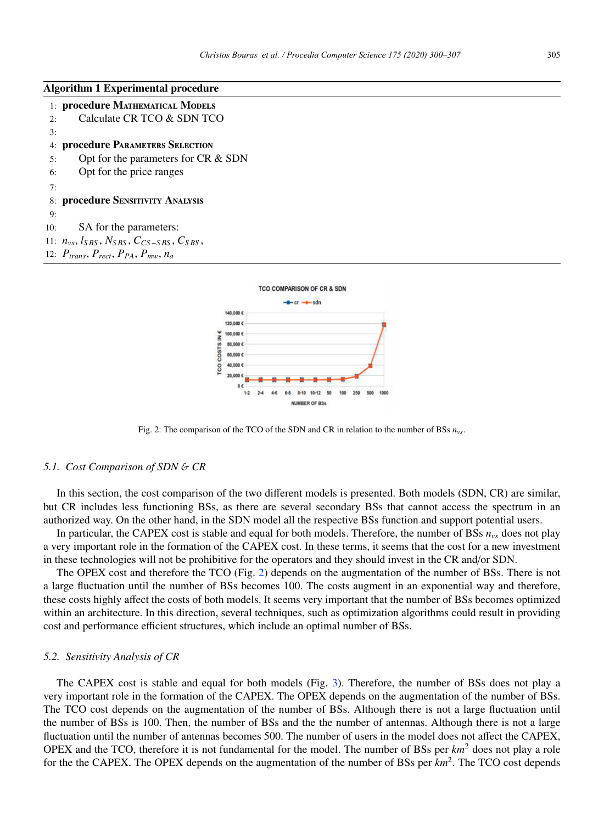# Algorithm 1 Experimental procedure

|    | 1: procedure MATHEMATICAL MODELS                     |
|----|------------------------------------------------------|
| 2: | Calculate CR TCO & SDN TCO                           |
| 3: |                                                      |
|    | 4: procedure PARAMETERS SELECTION                    |
| 5: | Opt for the parameters for CR & SDN                  |
| 6: | Opt for the price ranges                             |
| 7: |                                                      |
|    | 8: procedure SENSITIVITY ANALYSIS                    |
| 9: |                                                      |
|    | 10: SA for the parameters:                           |
|    | 11: $n_{vs}, l_{SBS}, N_{SBS}, C_{CS-SBS}, C_{SBS},$ |
|    | 12: $P_{trans}, P_{rect}, P_{PA}, P_{mw}, n_a$       |
|    |                                                      |



Fig. 2: The comparison of the TCO of the SDN and CR in relation to the number of BSs *nvs*.

#### *5.1. Cost Comparison of SDN* & *CR*

In this section, the cost comparison of the two different models is presented. Both models (SDN, CR) are similar, but CR includes less functioning BSs, as there are several secondary BSs that cannot access the spectrum in an authorized way. On the other hand, in the SDN model all the respective BSs function and support potential users.

In particular, the CAPEX cost is stable and equal for both models. Therefore, the number of BSs *nvs* does not play a very important role in the formation of the CAPEX cost. In these terms, it seems that the cost for a new investment in these technologies will not be prohibitive for the operators and they should invest in the CR and/or SDN.

The OPEX cost and therefore the TCO (Fig. 2) depends on the augmentation of the number of BSs. There is not a large fluctuation until the number of BSs becomes 100. The costs augment in an exponential way and therefore, these costs highly affect the costs of both models. It seems very important that the number of BSs becomes optimized within an architecture. In this direction, several techniques, such as optimization algorithms could result in providing cost and performance efficient structures, which include an optimal number of BSs.

#### *5.2. Sensitivity Analysis of CR*

The CAPEX cost is stable and equal for both models (Fig. 3). Therefore, the number of BSs does not play a very important role in the formation of the CAPEX. The OPEX depends on the augmentation of the number of BSs. The TCO cost depends on the augmentation of the number of BSs. Although there is not a large fluctuation until the number of BSs is 100. Then, the number of BSs and the the number of antennas. Although there is not a large fluctuation until the number of antennas becomes 500. The number of users in the model does not affect the CAPEX, OPEX and the TCO, therefore it is not fundamental for the model. The number of BSs per *km*<sup>2</sup> does not play a role for the the CAPEX. The OPEX depends on the augmentation of the number of BSs per *km*2. The TCO cost depends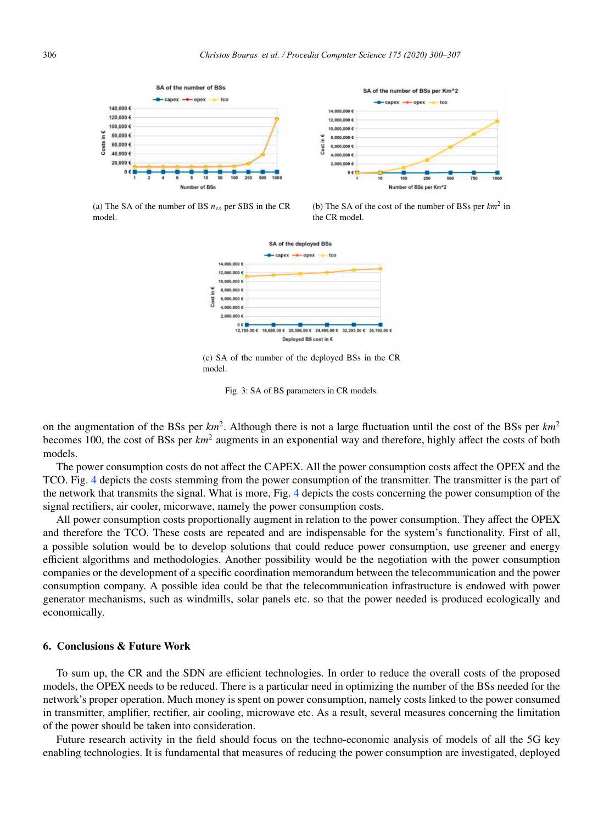



(a) The SA of the number of BS *nvs* per SBS in the CR model.





(c) SA of the number of the deployed BSs in the CR model.

Fig. 3: SA of BS parameters in CR models.

on the augmentation of the BSs per *km*2. Although there is not a large fluctuation until the cost of the BSs per *km*<sup>2</sup> becomes 100, the cost of BSs per *km*<sup>2</sup> augments in an exponential way and therefore, highly affect the costs of both models.

The power consumption costs do not affect the CAPEX. All the power consumption costs affect the OPEX and the TCO. Fig. 4 depicts the costs stemming from the power consumption of the transmitter. The transmitter is the part of the network that transmits the signal. What is more, Fig. 4 depicts the costs concerning the power consumption of the signal rectifiers, air cooler, micorwave, namely the power consumption costs.

All power consumption costs proportionally augment in relation to the power consumption. They affect the OPEX and therefore the TCO. These costs are repeated and are indispensable for the system's functionality. First of all, a possible solution would be to develop solutions that could reduce power consumption, use greener and energy efficient algorithms and methodologies. Another possibility would be the negotiation with the power consumption companies or the development of a specific coordination memorandum between the telecommunication and the power consumption company. A possible idea could be that the telecommunication infrastructure is endowed with power generator mechanisms, such as windmills, solar panels etc. so that the power needed is produced ecologically and economically.

# 6. Conclusions & Future Work

To sum up, the CR and the SDN are efficient technologies. In order to reduce the overall costs of the proposed models, the OPEX needs to be reduced. There is a particular need in optimizing the number of the BSs needed for the network's proper operation. Much money is spent on power consumption, namely costs linked to the power consumed in transmitter, amplifier, rectifier, air cooling, microwave etc. As a result, several measures concerning the limitation of the power should be taken into consideration.

Future research activity in the field should focus on the techno-economic analysis of models of all the 5G key enabling technologies. It is fundamental that measures of reducing the power consumption are investigated, deployed